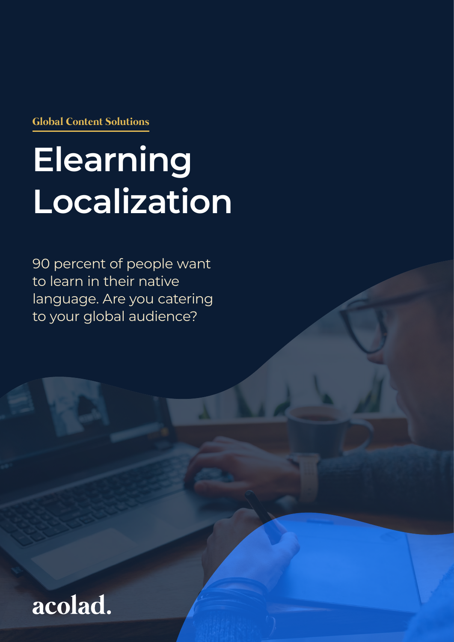**Global Content Solutions**

# **Elearning Localization**

90 percent of people want to learn in their native language. Are you catering to your global audience?

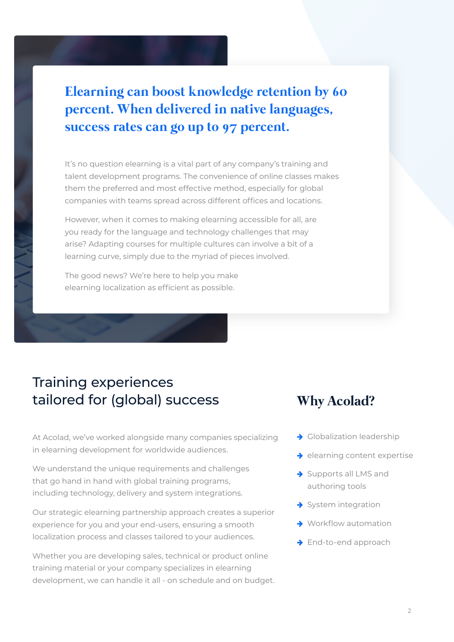# **Elearning can boost knowledge retention by 60 percent. When delivered in native languages, success rates can go up to 97 percent.**

It's no question elearning is a vital part of any company's training and talent development programs. The convenience of online classes makes them the preferred and most effective method, especially for global companies with teams spread across different offices and locations.

However, when it comes to making elearning accessible for all, are you ready for the language and technology challenges that may arise? Adapting courses for multiple cultures can involve a bit of a learning curve, simply due to the myriad of pieces involved.

The good news? We're here to help you make elearning localization as efficient as possible.

# Training experiences tailored for (global) success

At Acolad, we've worked alongside many companies specializing in elearning development for worldwide audiences.

We understand the unique requirements and challenges that go hand in hand with global training programs, including technology, delivery and system integrations.

Our strategic elearning partnership approach creates a superior experience for you and your end-users, ensuring a smooth localization process and classes tailored to your audiences.

Whether you are developing sales, technical or product online training material or your company specializes in elearning development, we can handle it all - on schedule and on budget.

### **Why Acolad?**

- $\rightarrow$  Globalization leadership
- $\rightarrow$  elearning content expertise
- $\rightarrow$  Supports all LMS and authoring tools
- $\rightarrow$  System integration
- $\rightarrow$  Workflow automation
- $\rightarrow$  End-to-end approach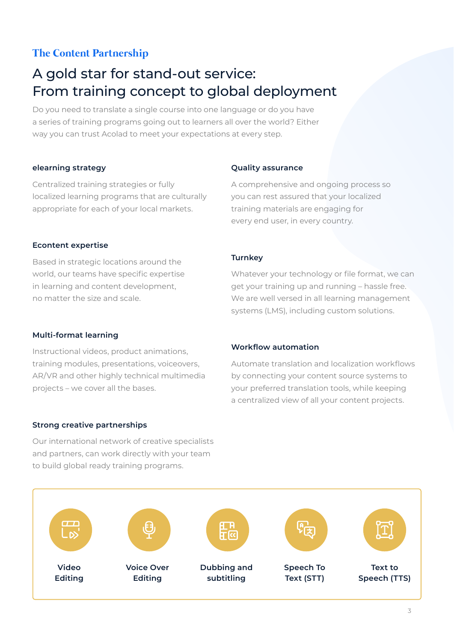#### **The Content Partnership**

# A gold star for stand-out service: From training concept to global deployment

Do you need to translate a single course into one language or do you have a series of training programs going out to learners all over the world? Either way you can trust Acolad to meet your expectations at every step.

#### **elearning strategy**

Centralized training strategies or fully localized learning programs that are culturally appropriate for each of your local markets.

#### **Quality assurance**

A comprehensive and ongoing process so you can rest assured that your localized training materials are engaging for every end user, in every country.

#### **Econtent expertise**

Based in strategic locations around the world, our teams have specific expertise in learning and content development, no matter the size and scale.

#### **Turnkey**

Whatever your technology or file format, we can get your training up and running – hassle free. We are well versed in all learning management systems (LMS), including custom solutions.

#### **Multi-format learning**

Instructional videos, product animations, training modules, presentations, voiceovers, AR/VR and other highly technical multimedia projects – we cover all the bases.

#### **Strong creative partnerships**

Our international network of creative specialists and partners, can work directly with your team to build global ready training programs.

#### **Workflow automation**

Automate translation and localization workflows by connecting your content source systems to your preferred translation tools, while keeping a centralized view of all your content projects.